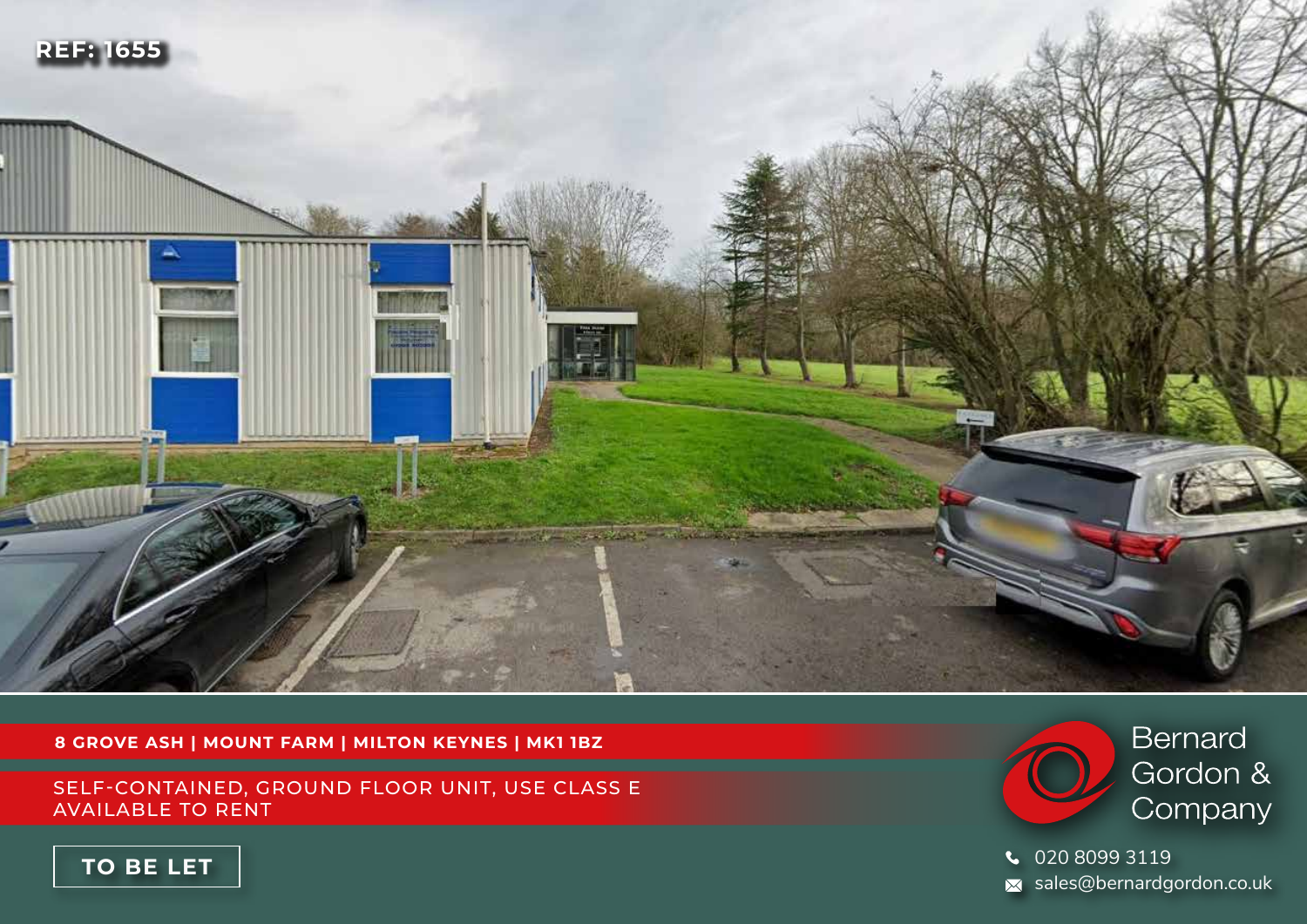

**8 GROVE ASH | MOUNT FARM | MILTON KEYNES | MK1 1BZ**

SELF-CONTAINED, GROUND FLOOR UNIT, USE CLASS E AVAILABLE TO RENT



020 8099 3119  $\overline{\mathsf{x}}$  sales@bernardgordon.co.uk

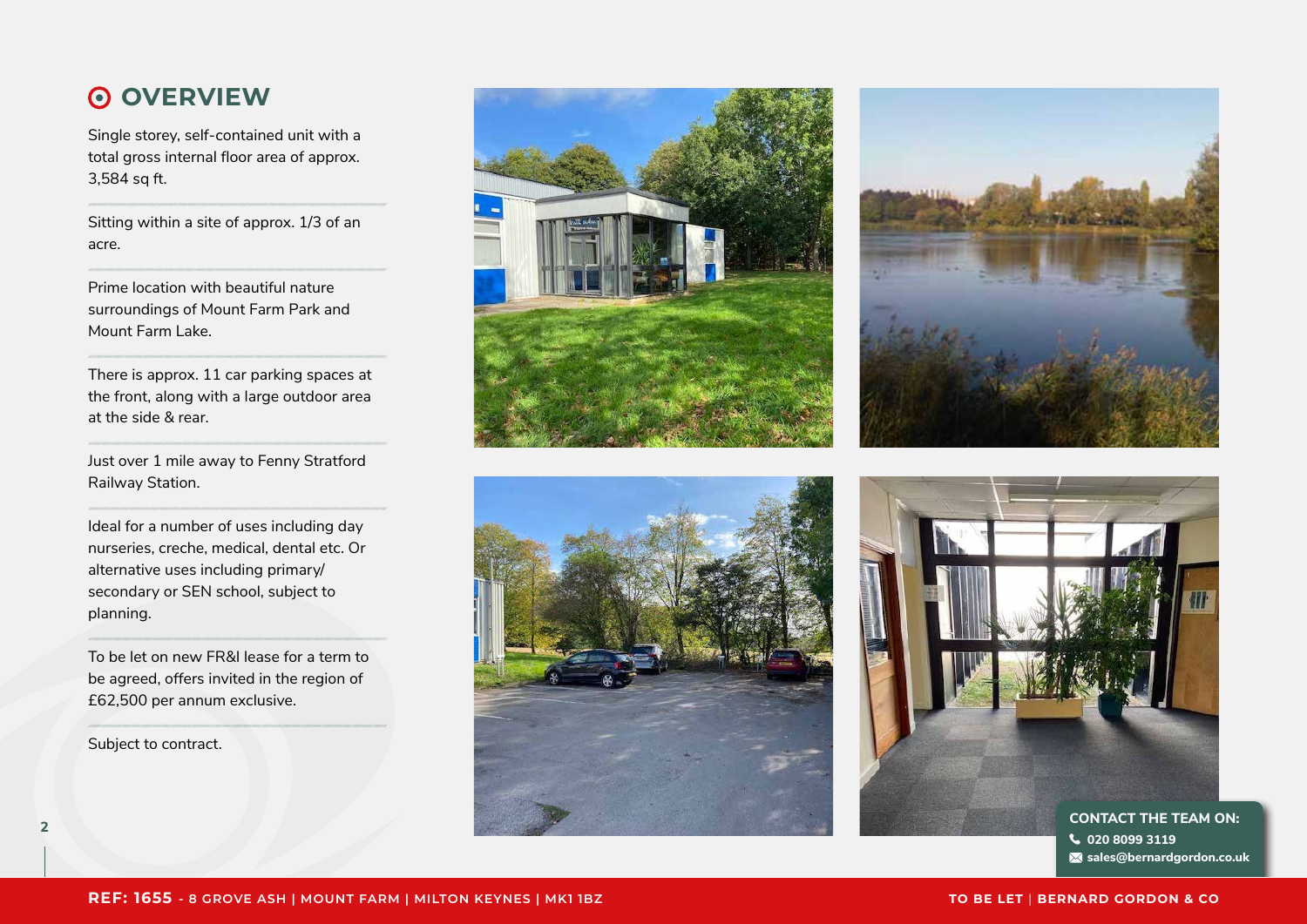### **OVERVIEW**

Single storey, self-contained unit with a total gross internal floor area of approx. 3,584 sq ft.

Sitting within a site of approx. 1/3 of an acre.

Prime location with beautiful nature surroundings of Mount Farm Park and Mount Farm Lake.

There is approx. 11 car parking spaces at the front, along with a large outdoor area at the side & rear.

Just over 1 mile away to Fenny Stratford Railway Station.

Ideal for a number of uses including day nurseries, creche, medical, dental etc. Or alternative uses including primary/ secondary or SEN school, subject to planning.

To be let on new FR&I lease for a term to be agreed, offers invited in the region of £62,500 per annum exclusive.

Subject to contract.









**sales@bernardgordon.co.uk**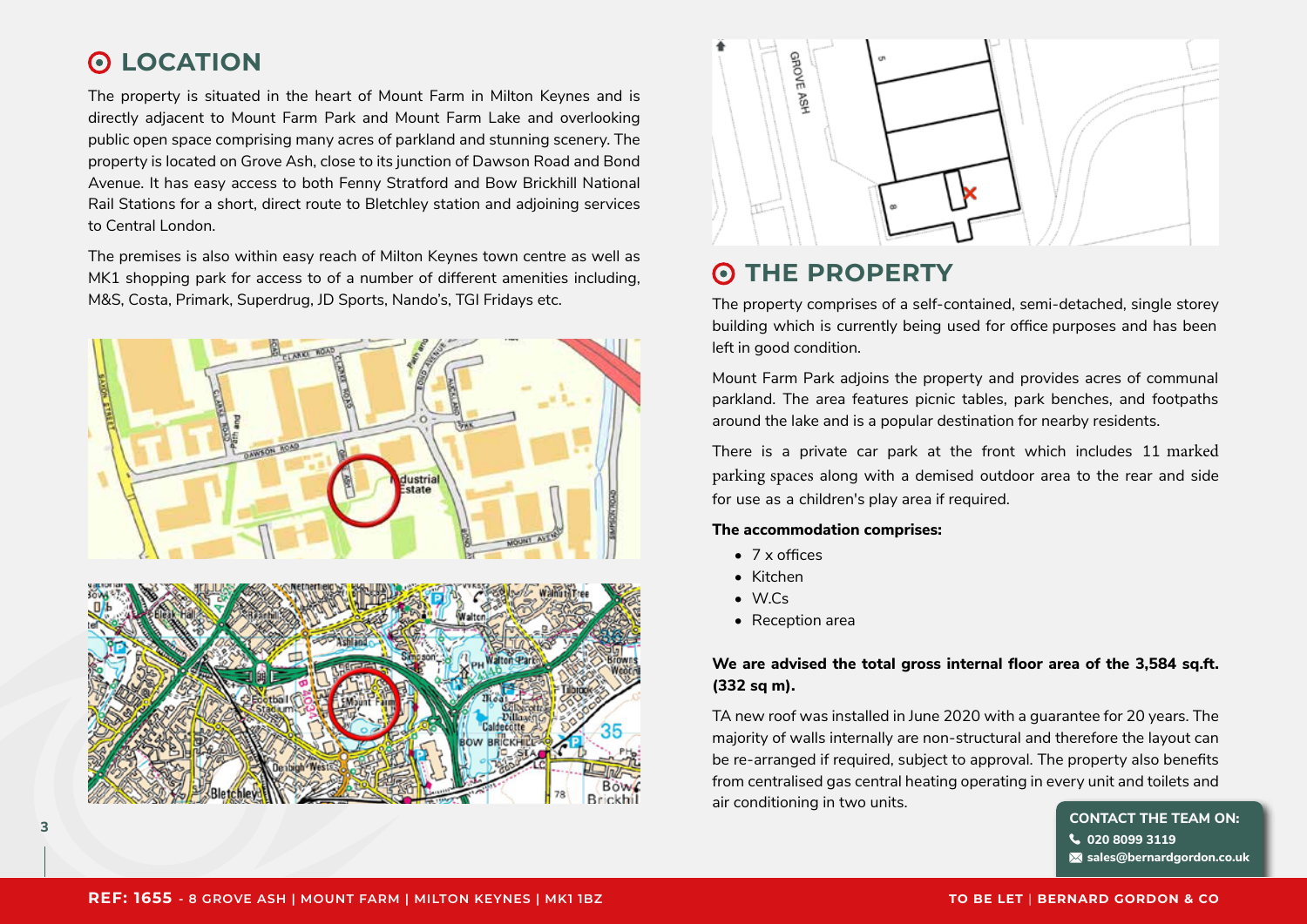### **LOCATION**

The property is situated in the heart of Mount Farm in Milton Keynes and is directly adjacent to Mount Farm Park and Mount Farm Lake and overlooking public open space comprising many acres of parkland and stunning scenery. The property is located on Grove Ash, close to its junction of Dawson Road and Bond Avenue. It has easy access to both Fenny Stratford and Bow Brickhill National Rail Stations for a short, direct route to Bletchley station and adjoining services to Central London.

The premises is also within easy reach of Milton Keynes town centre as well as MK1 shopping park for access to of a number of different amenities including, M&S, Costa, Primark, Superdrug, JD Sports, Nando's, TGI Fridays etc.





#### **THE PROPERTY**  $\odot$

The property comprises of a self-contained, semi-detached, single storey building which is currently being used for office purposes and has been left in good condition.

Mount Farm Park adjoins the property and provides acres of communal parkland. The area features picnic tables, park benches, and footpaths around the lake and is a popular destination for nearby residents.

There is a private car park at the front which includes 11 marked parking spaces along with a demised outdoor area to the rear and side for use as a children's play area if required.

### **The accommodation comprises:**

- 7 x offices
- Kitchen
- W.Cs
- Reception area

### **We are advised the total gross internal floor area of the 3,584 sq.ft. (332 sq m).**

TA new roof was installed in June 2020 with a guarantee for 20 years. The majority of walls internally are non-structural and therefore the layout can be re-arranged if required, subject to approval. The property also benefits from centralised gas central heating operating in every unit and toilets and air conditioning in two units.

**020 8099 3119 sales@bernardgordon.co.uk**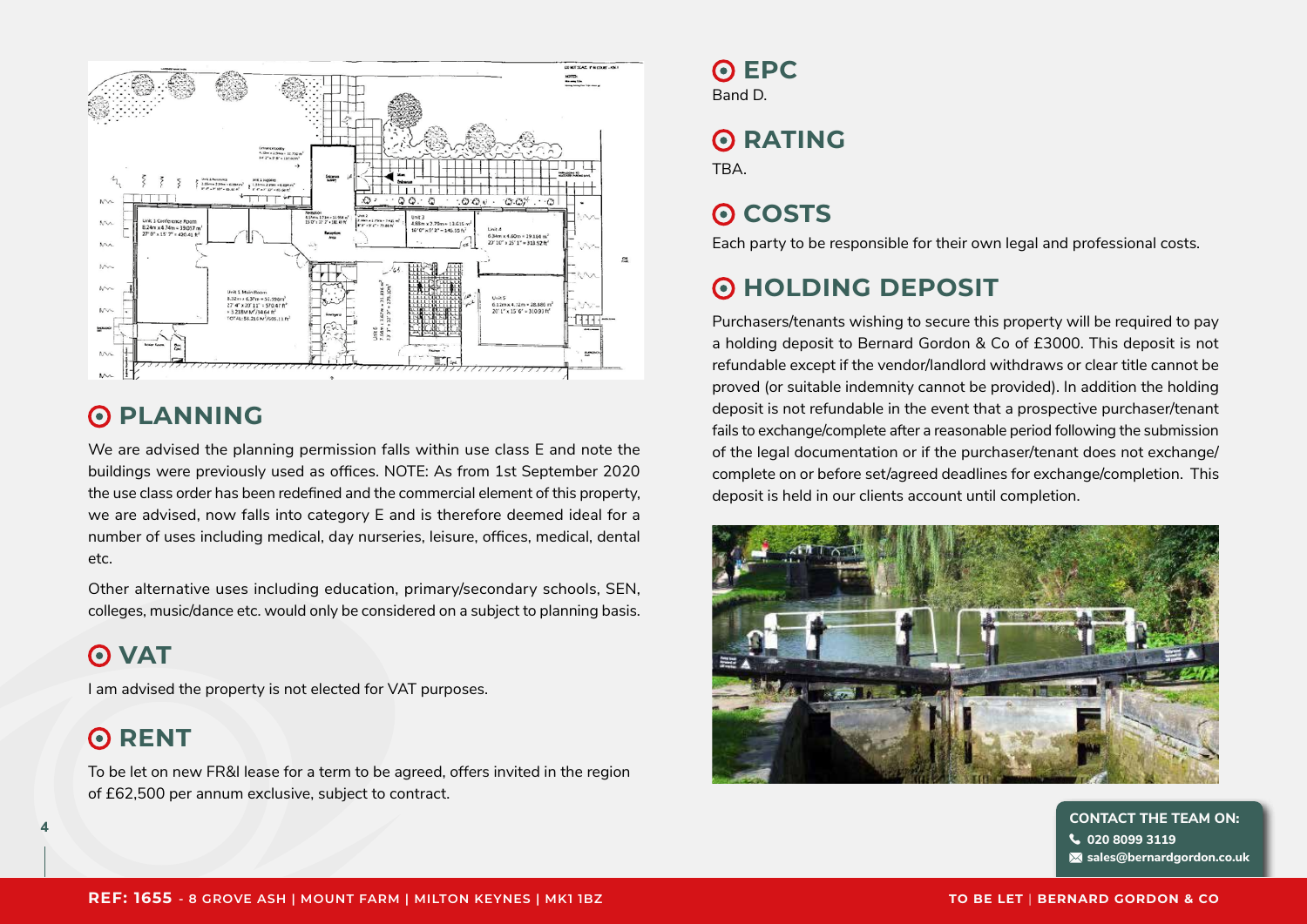

#### **PLANNING**  $\odot$

We are advised the planning permission falls within use class E and note the buildings were previously used as offices. NOTE: As from 1st September 2020 the use class order has been redefined and the commercial element of this property, we are advised, now falls into category E and is therefore deemed ideal for a number of uses including medical, day nurseries, leisure, offices, medical, dental etc.

Other alternative uses including education, primary/secondary schools, SEN, colleges, music/dance etc. would only be considered on a subject to planning basis.

### **O** VAT

I am advised the property is not elected for VAT purposes.

#### **RENT**   $\odot$

To be let on new FR&I lease for a term to be agreed, offers invited in the region of £62,500 per annum exclusive, subject to contract.

## **O** EPC

Band D.

# **O**RATING

**TRA** 

## **O** COSTS

Each party to be responsible for their own legal and professional costs.

### **HOLDING DEPOSIT**

Purchasers/tenants wishing to secure this property will be required to pay a holding deposit to Bernard Gordon & Co of £3000. This deposit is not refundable except if the vendor/landlord withdraws or clear title cannot be proved (or suitable indemnity cannot be provided). In addition the holding deposit is not refundable in the event that a prospective purchaser/tenant fails to exchange/complete after a reasonable period following the submission of the legal documentation or if the purchaser/tenant does not exchange/ complete on or before set/agreed deadlines for exchange/completion. This deposit is held in our clients account until completion.



**<sup>4</sup> CONTACT THE TEAM ON: 020 8099 3119 sales@bernardgordon.co.uk**